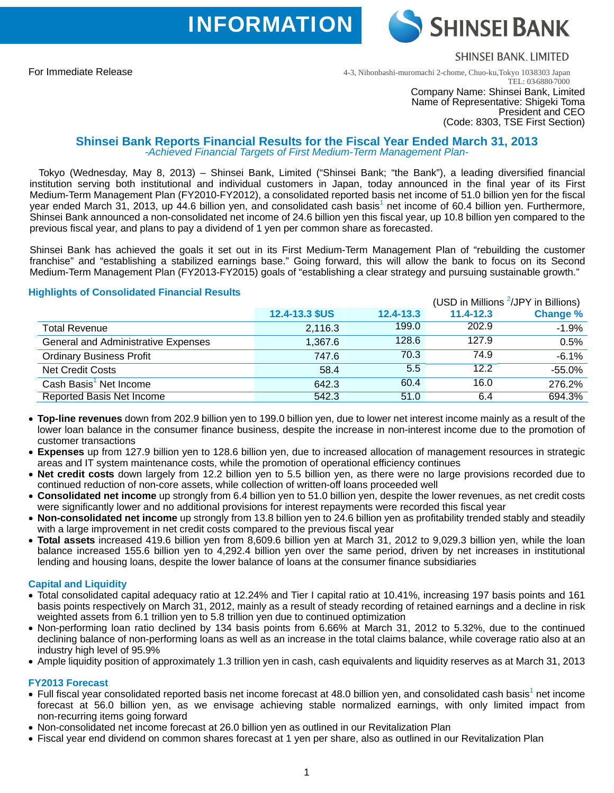**INFORMATION** 

**SHINSEI BANK, LIMITED** 

4-3, Nihonbashi-muromachi 2-chome, Chuo-ku,Tokyo 103-8303 Japan TEL: 03-6880-7000

#### Company Name: Shinsei Bank, Limited Name of Representative: Shigeki Toma President and CEO (Code: 8303, TSE First Section)

SHINSEI BANK

# **Shinsei Bank Reports Financial Results for the Fiscal Year Ended March 31, 2013** *-Achieved Financial Targets of First Medium-Term Management Plan-*

Tokyo (Wednesday, May 8, 2013) – Shinsei Bank, Limited ("Shinsei Bank; "the Bank"), a leading diversified financial institution serving both institutional and individual customers in Japan, today announced in the final year of its First Medium-Term Management Plan (FY2010-FY2012), a consolidated reported basis net income of 51.0 billion yen for the fiscal year ended March 31, 2013, up 44.6 billion yen, and consolidated cash basis<sup>1</sup> net income of 60.4 billion yen. Furthermore, Shinsei Bank announced a non-consolidated net income of 24.6 billion yen this fiscal year, up 10.8 billion yen compared to the previous fiscal year, and plans to pay a dividend of 1 yen per common share as forecasted.

Shinsei Bank has achieved the goals it set out in its First Medium-Term Management Plan of "rebuilding the customer franchise" and "establishing a stabilized earnings base." Going forward, this will allow the bank to focus on its Second Medium-Term Management Plan (FY2013-FY2015) goals of "establishing a clear strategy and pursuing sustainable growth."

# **Highlights of Consolidated Financial Results**

|                                     |                |           |               | (USD in Millions <sup>2</sup> /JPY in Billions) |
|-------------------------------------|----------------|-----------|---------------|-------------------------------------------------|
|                                     | 12.4-13.3 \$US | 12.4-13.3 | $11.4 - 12.3$ | <b>Change %</b>                                 |
| <b>Total Revenue</b>                | 2,116.3        | 199.0     | 202.9         | $-1.9%$                                         |
| General and Administrative Expenses | 1,367.6        | 128.6     | 127.9         | 0.5%                                            |
| <b>Ordinary Business Profit</b>     | 747.6          | 70.3      | 74.9          | $-6.1%$                                         |
| <b>Net Credit Costs</b>             | 58.4           | 5.5       | 12.2          | $-55.0%$                                        |
| Cash Basis <sup>1</sup> Net Income  | 642.3          | 60.4      | 16.0          | 276.2%                                          |
| <b>Reported Basis Net Income</b>    | 542.3          | 51.0      | 6.4           | 694.3%                                          |

- **Top-line revenues** down from 202.9 billion yen to 199.0 billion yen, due to lower net interest income mainly as a result of the lower loan balance in the consumer finance business, despite the increase in non-interest income due to the promotion of customer transactions
- **Expenses** up from 127.9 billion yen to 128.6 billion yen, due to increased allocation of management resources in strategic areas and IT system maintenance costs, while the promotion of operational efficiency continues
- **Net credit costs** down largely from 12.2 billion yen to 5.5 billion yen, as there were no large provisions recorded due to continued reduction of non-core assets, while collection of written-off loans proceeded well
- **Consolidated net income** up strongly from 6.4 billion yen to 51.0 billion yen, despite the lower revenues, as net credit costs were significantly lower and no additional provisions for interest repayments were recorded this fiscal year
- **Non-consolidated net income** up strongly from 13.8 billion yen to 24.6 billion yen as profitability trended stably and steadily with a large improvement in net credit costs compared to the previous fiscal year
- **Total assets** increased 419.6 billion yen from 8,609.6 billion yen at March 31, 2012 to 9,029.3 billion yen, while the loan balance increased 155.6 billion yen to 4,292.4 billion yen over the same period, driven by net increases in institutional lending and housing loans, despite the lower balance of loans at the consumer finance subsidiaries

# **Capital and Liquidity**

- Total consolidated capital adequacy ratio at 12.24% and Tier I capital ratio at 10.41%, increasing 197 basis points and 161 basis points respectively on March 31, 2012, mainly as a result of steady recording of retained earnings and a decline in risk weighted assets from 6.1 trillion yen to 5.8 trillion yen due to continued optimization
- Non-performing loan ratio declined by 134 basis points from 6.66% at March 31, 2012 to 5.32%, due to the continued declining balance of non-performing loans as well as an increase in the total claims balance, while coverage ratio also at an industry high level of 95.9%
- Ample liquidity position of approximately 1.3 trillion yen in cash, cash equivalents and liquidity reserves as at March 31, 2013

### **FY2013 Forecast**

- $\bullet$  Full fiscal year consolidated reported basis net income forecast at 48.0 billion yen, and consolidated cash basis<sup>1</sup> net income forecast at 56.0 billion yen, as we envisage achieving stable normalized earnings, with only limited impact from non-recurring items going forward
- Non-consolidated net income forecast at 26.0 billion yen as outlined in our Revitalization Plan
- Fiscal year end dividend on common shares forecast at 1 yen per share, also as outlined in our Revitalization Plan